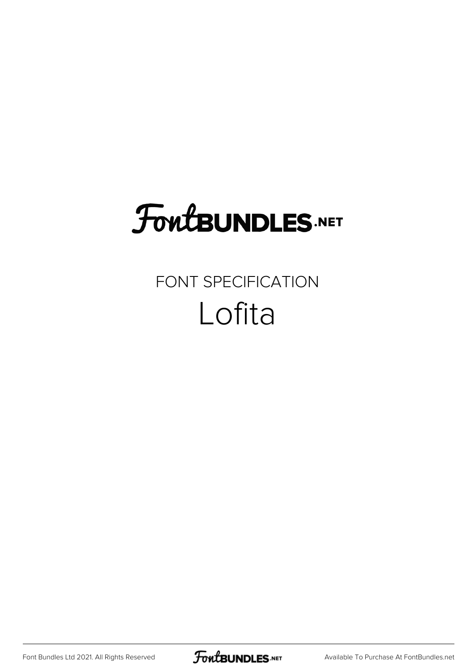## **FoutBUNDLES.NET**

## FONT SPECIFICATION Lofita

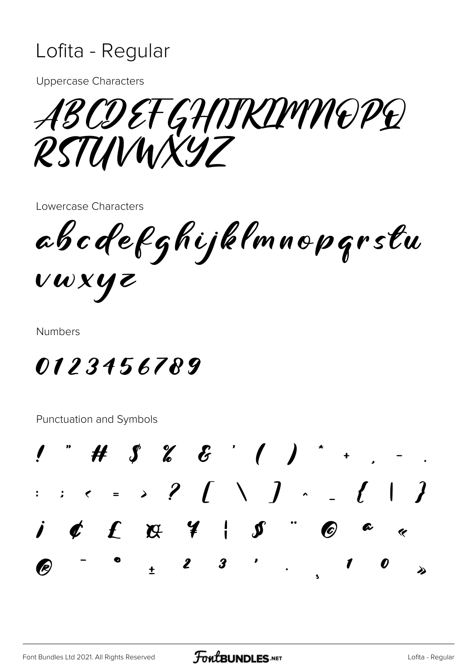## Lofita - Regular

**Uppercase Characters** 

ABCDEFGHITKLYVNOPQ RSTUNNXYZ

Lowercase Characters

abcdefghijklmnopgrstu

vwxyz

**Numbers** 

0123456789

**Punctuation and Symbols** 

 $1$  "  $H$   $S$   $\&$   $E$  '  $($   $)$   $\rightarrow$   $\rightarrow$  $\cdots$  . . . . ?  $[$   $\setminus$   $]$   $\cdots$   $[$   $|$   $]$  $\overline{\phantom{a}}$   $\overline{\phantom{a}}$ (R)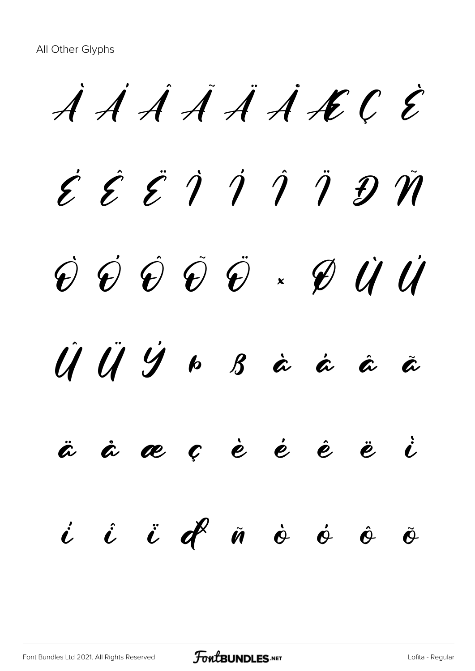$\dot{A}$   $\dot{A}$   $\ddot{A}$   $\dot{A}$   $\dot{A}$   $\dot{A}$   $\dot{E}$   $C$   $\dot{C}$  $\acute{\mathcal{E}}$   $\acute{\mathcal{E}}$   $\acute{\mathcal{I}}$   $\acute{\mathcal{I}}$   $\acute{\mathcal{I}}$   $\acute{\mathcal{I}}$   $\ddot{\mathcal{I}}$   $\ddot{\mathcal{I}}$   $\ddot{\mathcal{I}}$  $\acute{\mathrm{\theta}}$  Ô Ô Ô  $\ddot{\mathrm{\theta}}$  × Ø Ù Ü Û Ü Ý Þ ß à á â ã ä å æ ç è é ê ë ì í î ï ð ñ ò ó ô õ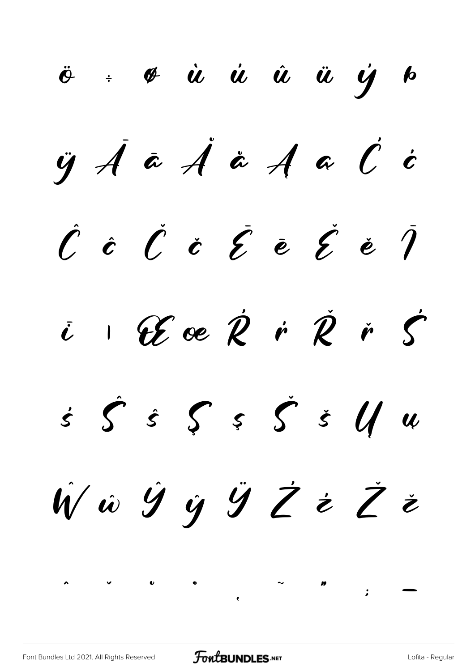ö ÷ ø ù ú û ü ý þ  $\ddot{y}$   $\dot{A}$   $\ddot{\alpha}$   $\dot{A}$   $\ddot{\alpha}$   $\dot{A}$   $\ddot{\alpha}$   $\dot{C}$   $\dot{c}$  $\hat{\mathcal{C}}$  ĉ  $\check{\mathcal{C}}$  č  $\check{\mathcal{E}}$  ē  $\check{\mathcal{E}}$  ě  $\check{\mathcal{V}}$  $\overline{i}$   $\overline{i}$   $\overline{\mathscr{C}}$  ce  $\overline{\mathscr{C}}$   $\overline{r}$   $\overline{\mathscr{C}}$   $\overline{r}$   $\overline{\mathscr{S}}$  $s$   $\hat{s}$   $\hat{s}$   $\hat{s}$   $\hat{s}$   $\hat{s}$   $\hat{y}$   $\hat{u}$  $\hat{W}$   $\hat{w}$  Ŷ  $\hat{y}$   $\hat{y}$   $\hat{Z}$   $\hat{z}$   $\hat{Z}$   $\hat{z}$ ˆ ˇ ˘ ˚ ˛ ˜ ˝ ; –